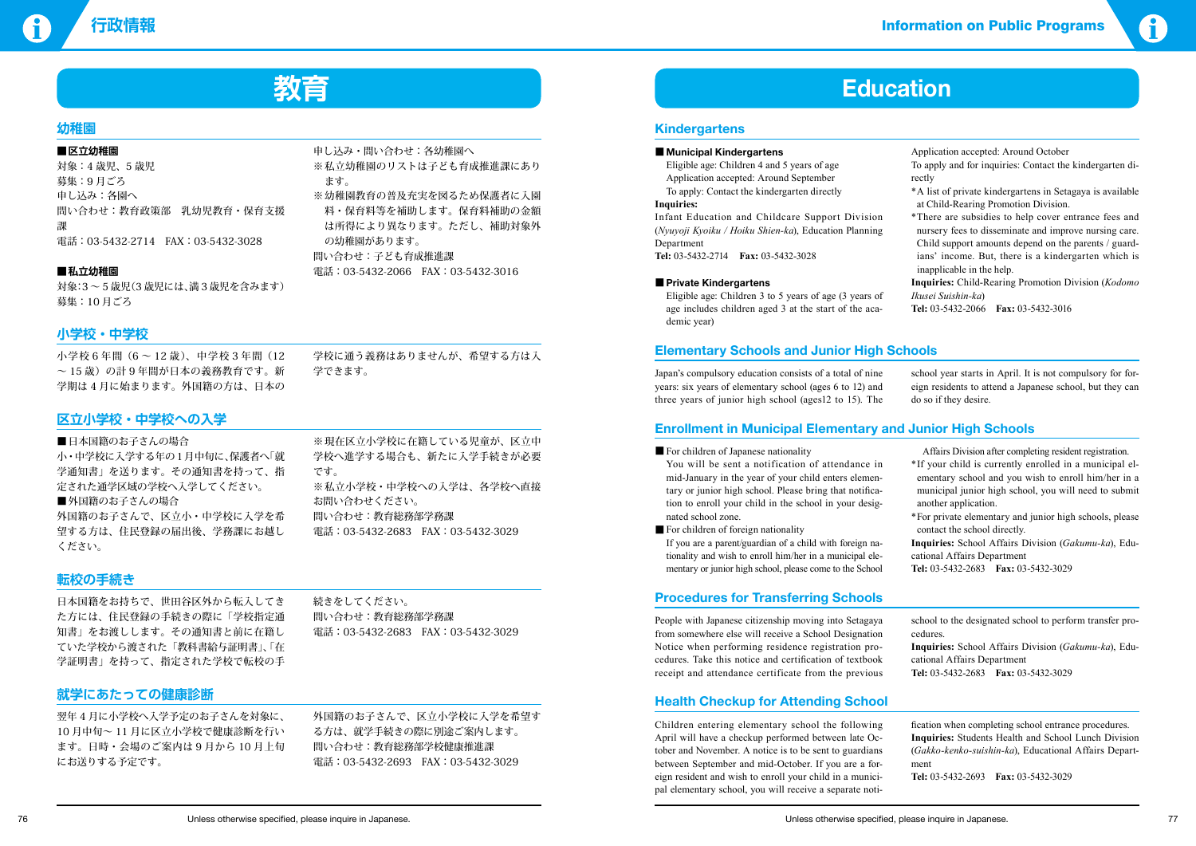**行政情報** Information on Public Programs

# **教育 Education**

## **Kindergartens**

#### ■ Municipal Kindergartens

Eligible age: Children 4 and 5 years of age Application accepted: Around September

To apply: Contact the kindergarten directly

#### **Inquiries:**

Infant Education and Childcare Support Division (*Nyuyoji Kyoiku / Hoiku Shien-ka*), Education Planning Department

**Tel:** 03-5432-2714 **Fax:** 03-5432-3028

#### ■ **Private Kindergartens**

Eligible age: Children 3 to 5 years of age (3 years of age includes children aged 3 at the start of the academic year)

Application accepted: Around October

- To apply and for inquiries: Contact the kindergarten directly
- \*A list of private kindergartens in Setagaya is available at Child-Rearing Promotion Division.
- \*There are subsidies to help cover entrance fees and nursery fees to disseminate and improve nursing care. Child support amounts depend on the parents / guardians' income. But, there is a kindergarten which is inapplicable in the help.

■ For children of foreign nationality If you are a parent/guardian of a child with foreign nationality and wish to enroll him/her in a municipal elementary or junior high school, please come to the School

**Inquiries:** Child-Rearing Promotion Division (*Kodomo Ikusei Suishin-ka*)

**Tel:** 03-5432-2066 **Fax:** 03-5432-3016

## **Elementary Schools and Junior High Schools**

Japan's compulsory education consists of a total of nine years: six years of elementary school (ages 6 to 12) and three years of junior high school (ages12 to 15). The

school year starts in April. It is not compulsory for foreign residents to attend a Japanese school, but they can do so if they desire.

## **Enrollment in Municipal Elementary and Junior High Schools**

■ For children of Japanese nationality

You will be sent a notification of attendance in mid-January in the year of your child enters elementary or junior high school. Please bring that notification to enroll your child in the school in your designated school zone.

※幼稚園教育の普及充実を図るため保護者に入園 料・保育料等を補助します。保育料補助の金額 は所得により異なります。ただし、補助対象外

■日本国籍のお子さんの場合 小 ・ 中学校に入学する年の 1 月中旬に、保護者へ「就 学通知書」を送ります。その通知書を持って、指 定された通学区域の学校へ入学してください。 ■外国籍のお子さんの場合 外国籍のお子さんで、区立小・中学校に入学を希 望する方は、住民登録の届出後、学務課にお越し ください。

Affairs Division after completing resident registration.

※現在区立小学校に在籍している児童が、区立中 学校へ進学する場合も、新たに入学手続きが必要

※私立小学校・中学校への入学は、各学校へ直接

- \*If your child is currently enrolled in a municipal elementary school and you wish to enroll him/her in a municipal junior high school, you will need to submit another application.
- \*For private elementary and junior high schools, please contact the school directly.

**Inquiries:** School Affairs Division (*Gakumu-ka*), Educational Affairs Department

**Tel:** 03-5432-2683 **Fax:** 03-5432-3029

## **Procedures for Transferring Schools**

People with Japanese citizenship moving into Setagaya from somewhere else will receive a School Designation Notice when performing residence registration procedures. Take this notice and certification of textbook receipt and attendance certificate from the previous

school to the designated school to perform transfer procedures.

**Inquiries:** School Affairs Division (*Gakumu-ka*), Educational Affairs Department

**Tel:** 03-5432-2683 **Fax:** 03-5432-3029

## **Health Checkup for Attending School**

Children entering elementary school the following April will have a checkup performed between late October and November. A notice is to be sent to guardians between September and mid-October. If you are a foreign resident and wish to enroll your child in a municipal elementary school, you will receive a separate noti-

fication when completing school entrance procedures. **Inquiries:** Students Health and School Lunch Division (*Gakko-kenko-suishin-ka*), Educational Affairs Department **Tel:** 03-5432-2693 **Fax:** 03-5432-3029

## **幼稚園**

### **■区立幼稚園**

対象:4 歳児、5 歳児 募集:9 月ごろ 申し込み:各園へ 問い合わせ:教育政策部 乳幼児教育・保育支援 課 電話:03-5432-2714 FAX:03-5432-3028

#### **■私立幼稚園**

対象:3 ~ 5 歳児(3 歳児には、満 3 歳児を含みます) 募集:10 月ごろ

申し込み・問い合わせ:各幼稚園へ

ます。

の幼稚園があります。 問い合わせ:子ども育成推進課

※私立幼稚園のリストは子ども育成推進課にあり

電話:03-5432-2066 FAX:03-5432-3016

### **小学校・中学校**

小学校 6 年間(6 ~ 12 歳)、中学校 3 年間(12  $\sim$  15歳)の計9年間が日本の義務教育です。新 学期は 4 月に始まります。外国籍の方は、日本の 学校に通う義務はありませんが、希望する方は入

学できます。

## **区立小学校・中学校への入学**

です。

お問い合わせください。

問い合わせ:教育総務部学務課

電話:03-5432-2683 FAX:03-5432-3029

## **転校の手続き**

日本国籍をお持ちで、世田谷区外から転入してき た方には、住民登録の手続きの際に「学校指定通 知書」をお渡しします。その通知書と前に在籍し ていた学校から渡された「教科書給与証明書」、「在 学証明書」を持って、指定された学校で転校の手 続きをしてください。 問い合わせ:教育総務部学務課 電話:03-5432-2683 FAX:03-5432-3029

## **就学にあたっての健康診断**

翌年 4 月に小学校へ入学予定のお子さんを対象に、 10 月中旬~ 11 月に区立小学校で健康診断を行い ます。日時・会場のご案内は 9 月から 10 月上旬 にお送りする予定です。

外国籍のお子さんで、区立小学校に入学を希望す る方は、就学手続きの際に別途ご案内します。 問い合わせ:教育総務部学校健康推進課 電話:03-5432-2693 FAX:03-5432-3029